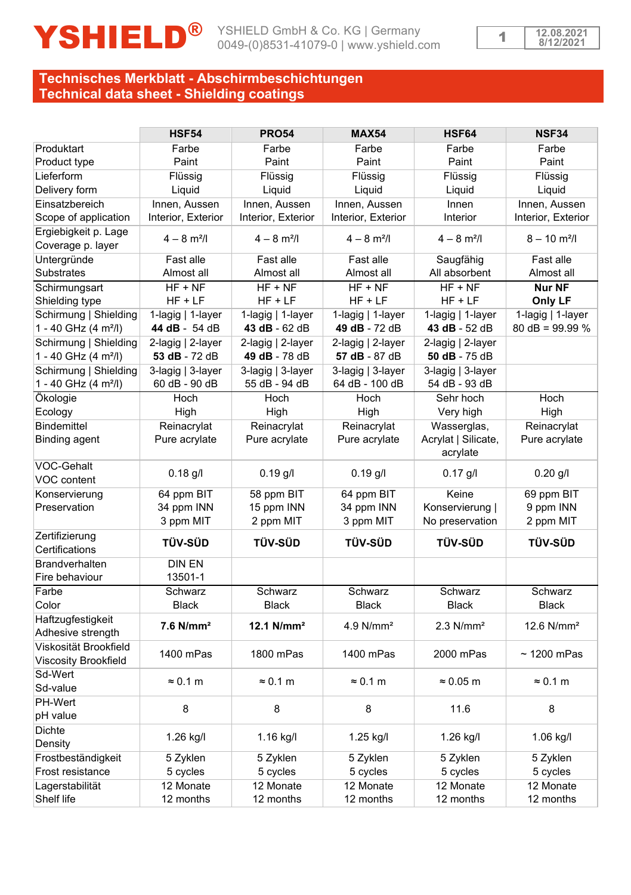

# **Technisches Merkblatt - Abschirmbeschichtungen Technical data sheet - Shielding coatings**

|                                                           | <b>HSF54</b>                       | <b>PRO54</b>                       | <b>MAX54</b>                        | HSF64                              | <b>NSF34</b>               |
|-----------------------------------------------------------|------------------------------------|------------------------------------|-------------------------------------|------------------------------------|----------------------------|
| Produktart                                                | Farbe                              | Farbe                              | Farbe                               | Farbe                              | Farbe                      |
| Product type                                              | Paint                              | Paint                              | Paint                               | Paint                              | Paint                      |
| Lieferform                                                | Flüssig                            | Flüssig                            | Flüssig                             | Flüssig                            | Flüssig                    |
| Delivery form                                             | Liquid                             | Liquid                             | Liquid                              | Liquid                             | Liquid                     |
| Einsatzbereich                                            | Innen, Aussen                      | Innen, Aussen                      | Innen. Aussen                       | Innen                              | Innen, Aussen              |
| Scope of application                                      | Interior, Exterior                 | Interior, Exterior                 | Interior, Exterior                  | Interior                           | Interior, Exterior         |
| Ergiebigkeit p. Lage<br>Coverage p. layer                 | $4 - 8$ m <sup>2</sup> /l          | $4 - 8$ m <sup>2</sup> /l          | $4 - 8$ m <sup>2</sup> /l           | $4 - 8$ m <sup>2</sup> /l          | $8 - 10$ m <sup>2</sup> /l |
| Untergründe                                               | Fast alle                          | Fast alle                          | Fast alle                           | Saugfähig                          | Fast alle                  |
| <b>Substrates</b>                                         | Almost all                         | Almost all                         | Almost all                          | All absorbent                      | Almost all                 |
| Schirmungsart                                             | $HF + NF$                          | $HF + NF$                          | $HF + NF$                           | $HF + NF$                          | Nur NF                     |
| Shielding type                                            | $HF + LF$                          | $HF + LF$                          | $HF + LF$                           | $HF + LF$                          | Only LF                    |
| Schirmung   Shielding                                     | 1-lagig   1-layer                  | 1-lagig   1-layer                  | 1-lagig   1-layer                   | 1-lagig   1-layer                  | 1-lagig   1-layer          |
| 1 - 40 GHz (4 m <sup>2</sup> /l)                          | 44 dB - 54 dB                      | 43 dB - 62 dB                      | 49 dB - 72 dB                       | 43 dB - 52 dB                      | $80$ dB = 99.99 %          |
| Schirmung   Shielding<br>1 - 40 GHz (4 m <sup>2</sup> /l) | 2-lagig   2-layer<br>53 dB - 72 dB | 2-lagig   2-layer<br>49 dB - 78 dB | 2-lagig   2-layer<br>57 dB - 87 dB  | 2-lagig   2-layer<br>50 dB - 75 dB |                            |
| Schirmung   Shielding<br>1 - 40 GHz (4 m <sup>2</sup> /l) | 3-lagig   3-layer<br>60 dB - 90 dB | 3-lagig   3-layer<br>55 dB - 94 dB | 3-lagig   3-layer<br>64 dB - 100 dB | 3-lagig   3-layer<br>54 dB - 93 dB |                            |
| Ökologie                                                  | Hoch                               | Hoch                               | Hoch                                | Sehr hoch                          | Hoch                       |
| Ecology                                                   | High                               | High                               | High                                | Very high                          | High                       |
| <b>Bindemittel</b>                                        | Reinacrylat                        | Reinacrylat                        | Reinacrylat                         | Wasserglas,                        | Reinacrylat                |
| <b>Binding agent</b>                                      | Pure acrylate                      | Pure acrylate                      | Pure acrylate                       | Acrylat   Silicate,<br>acrylate    | Pure acrylate              |
| VOC-Gehalt<br>VOC content                                 | $0.18$ g/l                         | $0.19$ g/l                         | $0.19$ g/l                          | $0.17$ g/l                         | $0.20$ g/l                 |
| Konservierung                                             | 64 ppm BIT                         | 58 ppm BIT                         | 64 ppm BIT                          | Keine                              | 69 ppm BIT                 |
| Preservation                                              | 34 ppm INN                         | 15 ppm INN                         | 34 ppm INN                          | Konservierung                      | 9 ppm INN                  |
|                                                           | 3 ppm MIT                          | 2 ppm MIT                          | 3 ppm MIT                           | No preservation                    | 2 ppm MIT                  |
| Zertifizierung<br>Certifications                          | <b>TÜV-SÜD</b>                     | <b>TÜV-SÜD</b>                     | TÜV SÜD                             | TÜV-SÜD                            | TÜV SÜD                    |
| <b>Brandverhalten</b>                                     | <b>DIN EN</b>                      |                                    |                                     |                                    |                            |
| Fire behaviour                                            | 13501-1                            |                                    |                                     |                                    |                            |
| Farbe                                                     | Schwarz                            | Schwarz                            | Schwarz                             | Schwarz                            | Schwarz                    |
| Color                                                     | <b>Black</b>                       | <b>Black</b>                       | <b>Black</b>                        | <b>Black</b>                       | <b>Black</b>               |
| Haftzugfestigkeit<br>Adhesive strength                    | $7.6$ N/mm <sup>2</sup>            | 12.1 $N/mm^2$                      | 4.9 N/mm <sup>2</sup>               | $2.3$ N/mm <sup>2</sup>            | 12.6 N/mm <sup>2</sup>     |
| Viskosität Brookfield                                     | 1400 mPas                          | 1800 mPas                          | 1400 mPas                           | 2000 mPas                          | $\sim$ 1200 mPas           |
| Viscosity Brookfield                                      |                                    |                                    |                                     |                                    |                            |
| Sd-Wert                                                   | $\approx 0.1$ m                    | $\approx 0.1$ m                    | $\approx 0.1$ m                     | $\approx 0.05$ m                   | $\approx 0.1$ m            |
| Sd-value                                                  |                                    |                                    |                                     |                                    |                            |
| PH-Wert                                                   | 8                                  | 8                                  | 8                                   | 11.6                               | 8                          |
| pH value                                                  |                                    |                                    |                                     |                                    |                            |
| <b>Dichte</b>                                             | 1.26 kg/l                          | 1.16 kg/l                          | 1.25 kg/l                           | 1.26 kg/l                          | $1.06$ kg/l                |
| Density                                                   |                                    |                                    |                                     |                                    |                            |
| Frostbeständigkeit                                        | 5 Zyklen                           | 5 Zyklen                           | 5 Zyklen                            | 5 Zyklen                           | 5 Zyklen                   |
| Frost resistance                                          | 5 cycles                           | 5 cycles                           | 5 cycles                            | 5 cycles                           | 5 cycles                   |
| Lagerstabilität                                           | 12 Monate                          | 12 Monate                          | 12 Monate                           | 12 Monate                          | 12 Monate                  |
| Shelf life                                                | 12 months                          | 12 months                          | 12 months                           | 12 months                          | 12 months                  |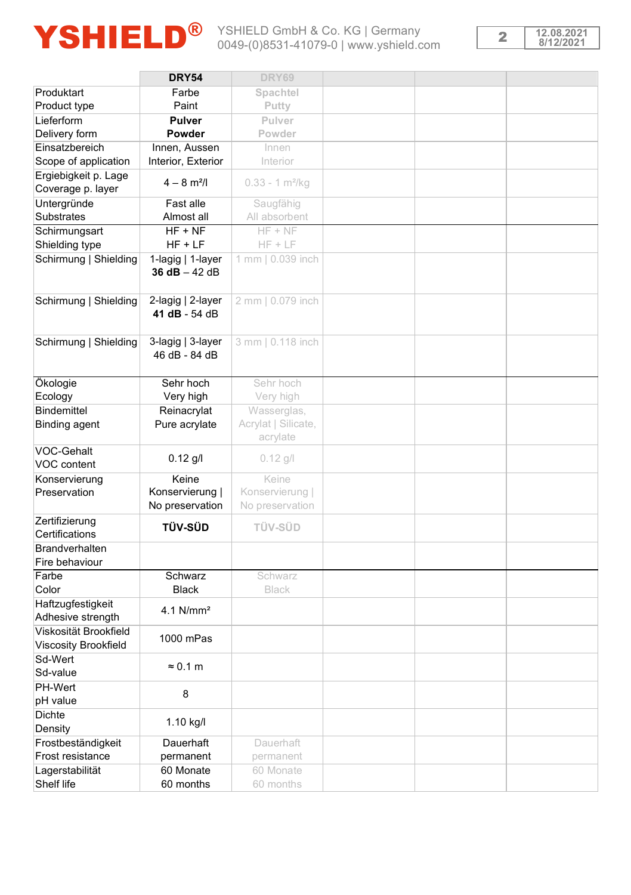



|                                               | <b>DRY54</b>                         | DRY69                           |  |  |
|-----------------------------------------------|--------------------------------------|---------------------------------|--|--|
| Produktart                                    | Farbe                                | Spachtel                        |  |  |
| Product type                                  | Paint                                | Putty                           |  |  |
| Lieferform                                    | Pulver                               | Pulver                          |  |  |
|                                               | Powder                               | Powder                          |  |  |
| Delivery form                                 |                                      |                                 |  |  |
| Einsatzbereich                                | Innen, Aussen                        | Innen                           |  |  |
| Scope of application                          | Interior, Exterior                   | Interior                        |  |  |
| Ergiebigkeit p. Lage<br>Coverage p. layer     | $4 - 8$ m <sup>2</sup> /l            | $0.33 - 1 m2/kq$                |  |  |
| Untergründe                                   | Fast alle                            | Saugfähig                       |  |  |
| Substrates                                    | Almost all                           | All absorbent                   |  |  |
| Schirmungsart                                 | $HF + NF$                            | $HF + NF$                       |  |  |
| Shielding type                                | $HF + LF$                            | $HF + LF$                       |  |  |
| Schirmung   Shielding                         | 1-lagig   1-layer<br>36 $dB - 42 dB$ | 1 mm   0.039 inch               |  |  |
| Schirmung   Shielding                         | 2-lagig   2-layer<br>41 dB - 54 dB   | 2 mm   0.079 inch               |  |  |
| Schirmung   Shielding                         | 3-lagig   3-layer<br>46 dB - 84 dB   | 3 mm   0.118 inch               |  |  |
| Ökologie                                      | Sehr hoch                            | Sehr hoch                       |  |  |
| Ecology                                       | Very high                            | Very high                       |  |  |
| <b>Bindemittel</b>                            | Reinacrylat                          | Wasserglas,                     |  |  |
| Binding agent                                 | Pure acrylate                        | Acrylat   Silicate,<br>acrylate |  |  |
| VOC-Gehalt                                    |                                      |                                 |  |  |
| VOC content                                   | $0.12$ g/l                           | $0.12$ g/l                      |  |  |
| Konservierung                                 | Keine                                | Keine                           |  |  |
| Preservation                                  | Konservierung                        | Konservierung                   |  |  |
|                                               | No preservation                      | No preservation                 |  |  |
| Zertifizierung                                |                                      |                                 |  |  |
| Certifications                                | <b>TÜV-SÜD</b>                       | TÜV-SÜD                         |  |  |
| Brandverhalten                                |                                      |                                 |  |  |
| Fire behaviour                                |                                      |                                 |  |  |
| Farbe                                         | Schwarz                              | Schwarz                         |  |  |
| Color                                         | <b>Black</b>                         | <b>Black</b>                    |  |  |
| Haftzugfestigkeit                             |                                      |                                 |  |  |
| Adhesive strength                             | $4.1$ N/mm <sup>2</sup>              |                                 |  |  |
| Viskosität Brookfield<br>Viscosity Brookfield | 1000 mPas                            |                                 |  |  |
| Sd-Wert                                       |                                      |                                 |  |  |
| Sd-value                                      | $\approx 0.1$ m                      |                                 |  |  |
| PH-Wert                                       |                                      |                                 |  |  |
| pH value                                      | 8                                    |                                 |  |  |
| Dichte                                        |                                      |                                 |  |  |
| Density                                       | 1.10 kg/l                            |                                 |  |  |
| Frostbeständigkeit                            | Dauerhaft                            | Dauerhaft                       |  |  |
| Frost resistance                              | permanent                            | permanent                       |  |  |
| Lagerstabilität                               | 60 Monate                            | 60 Monate                       |  |  |
| Shelf life                                    | 60 months                            | 60 months                       |  |  |
|                                               |                                      |                                 |  |  |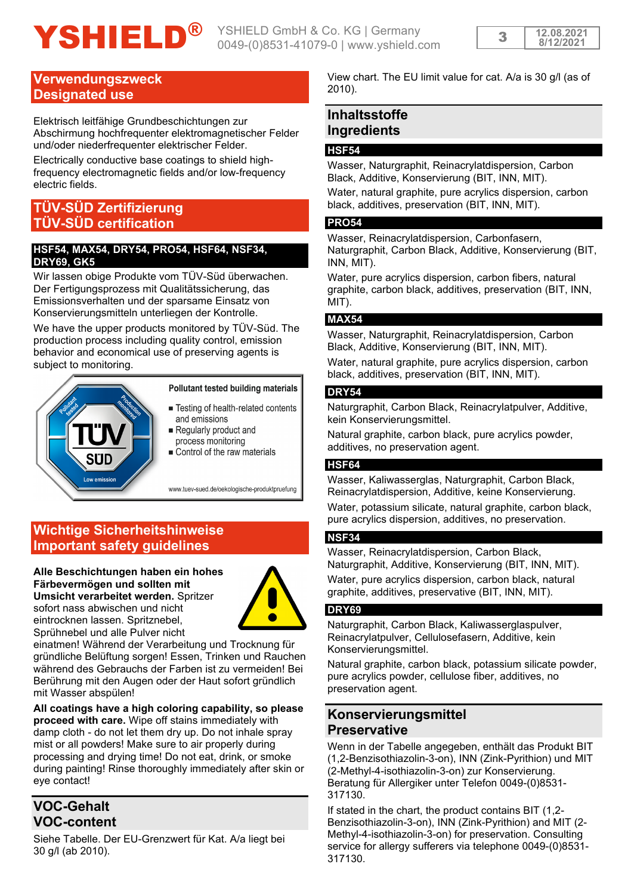# YSHIELD<sup>®</sup> YSHIELD GmbH & Co. KG | Germany

## **Verwendungszweck Designated use**

Elektrisch leitfähige Grundbeschichtungen zur Abschirmung hochfrequenter elektromagnetischer Felder und/oder niederfrequenter elektrischer Felder.

Electrically conductive base coatings to shield highfrequency electromagnetic fields and/or low-frequency electric fields.

# **TÜV-SÜD Zertifizierung TÜV-SÜD certification**

#### **HSF54, MAX54, DRY54, PRO54, HSF64, NSF34, DRY69, GK5**

Wir lassen obige Produkte vom TÜV-Süd überwachen. Der Fertigungsprozess mit Qualitätssicherung, das Emissionsverhalten und der sparsame Einsatz von Konservierungsmitteln unterliegen der Kontrolle.

We have the upper products monitored by TÜV-Süd. The production process including quality control, emission behavior and economical use of preserving agents is subject to monitoring.



#### Pollutant tested building materials

- Testing of health-related contents and emissions
- Regularly product and process monitoring Control of the raw materials

www.tuev-sued.de/oekologische-produktpruefung

# **Wichtige Sicherheitshinweise Important safety guidelines**

#### **Alle Beschichtungen haben ein hohes Färbevermögen und sollten mit Umsicht verarbeitet werden.** Spritzer sofort nass abwischen und nicht eintrocknen lassen. Spritznebel, Sprühnebel und alle Pulver nicht



einatmen! Während der Verarbeitung und Trocknung für gründliche Belüftung sorgen! Essen, Trinken und Rauchen während des Gebrauchs der Farben ist zu vermeiden! Bei Berührung mit den Augen oder der Haut sofort gründlich mit Wasser abspülen!

**All coatings have a high coloring capability, so please proceed with care.** Wipe off stains immediately with damp cloth - do not let them dry up. Do not inhale spray mist or all powders! Make sure to air properly during processing and drying time! Do not eat, drink, or smoke during painting! Rinse thoroughly immediately after skin or eye contact!

# **VOC-Gehalt VOC-content**

Siehe Tabelle. Der EU-Grenzwert für Kat. A/a liegt bei 30 g/l (ab 2010).

View chart. The EU limit value for cat. A/a is 30 g/l (as of 2010).

# **Inhaltsstoffe Ingredients**

#### **HSF54**

Wasser, Naturgraphit, Reinacrylatdispersion, Carbon Black, Additive, Konservierung (BIT, INN, MIT).

Water, natural graphite, pure acrylics dispersion, carbon black, additives, preservation (BIT, INN, MIT).

#### **PRO54**

Wasser, Reinacrylatdispersion, Carbonfasern, Naturgraphit, Carbon Black, Additive, Konservierung (BIT, INN, MIT).

Water, pure acrylics dispersion, carbon fibers, natural graphite, carbon black, additives, preservation (BIT, INN, MIT).

### **MAX54**

Wasser, Naturgraphit, Reinacrylatdispersion, Carbon Black, Additive, Konservierung (BIT, INN, MIT).

Water, natural graphite, pure acrylics dispersion, carbon black, additives, preservation (BIT, INN, MIT).

### **DRY54**

Naturgraphit, Carbon Black, Reinacrylatpulver, Additive, kein Konservierungsmittel.

Natural graphite, carbon black, pure acrylics powder, additives, no preservation agent.

#### **HSF64**

Wasser, Kaliwasserglas, Naturgraphit, Carbon Black, Reinacrylatdispersion, Additive, keine Konservierung. Water, potassium silicate, natural graphite, carbon black pure acrylics dispersion, additives, no preservation.

### **NSF34**

Wasser, Reinacrylatdispersion, Carbon Black Naturgraphit, Additive, Konservierung (BIT, INN, MIT).

Water, pure acrylics dispersion, carbon black, natural graphite, additives, preservative (BIT, INN, MIT).

#### **DRY69**

Naturgraphit, Carbon Black, Kaliwasserglaspulver, Reinacrylatpulver, Cellulosefasern, Additive, kein Konservierungsmittel.

Natural graphite, carbon black, potassium silicate powder, pure acrylics powder, cellulose fiber, additives, no preservation agent.

# **Konservierungsmittel Preservative**

Wenn in der Tabelle angegeben, enthält das Produkt BIT (1,2-Benzisothiazolin-3-on), INN (Zink-Pyrithion) und MIT (2-Methyl-4-isothiazolin-3-on) zur Konservierung. Beratung für Allergiker unter Telefon 0049-(0)8531- 317130.

If stated in the chart, the product contains BIT (1,2- Benzisothiazolin-3-on), INN (Zink-Pyrithion) and MIT (2- Methyl-4-isothiazolin-3-on) for preservation. Consulting service for allergy sufferers via telephone 0049-(0)8531- 317130.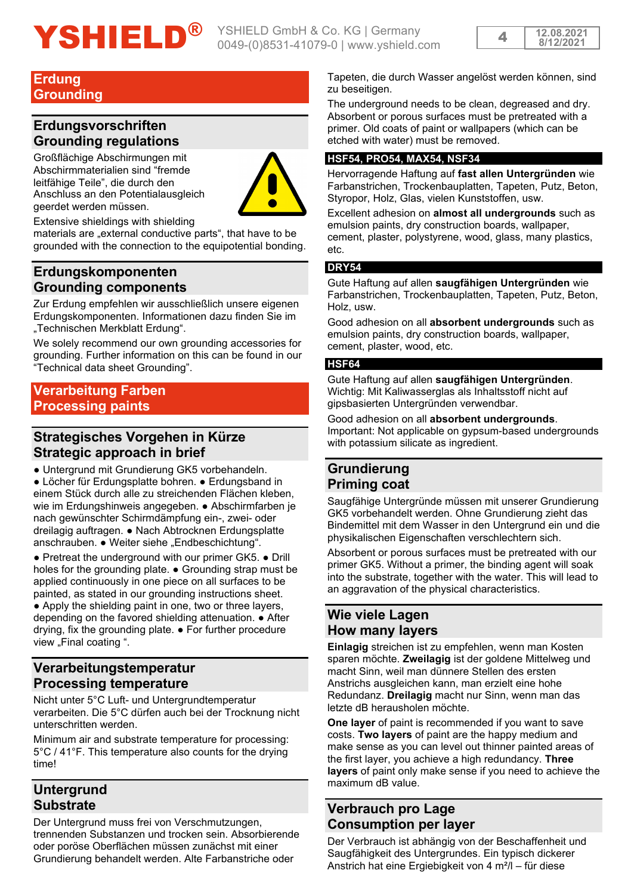# YSHIELD<sup>®</sup> YSHIELD GmbH & Co. KG | Germany

0049-(0)8531-41079-0 | www.yshield.com



### **Erdung Grounding**

# **Erdungsvorschriften Grounding regulations**

Großflächige Abschirmungen mit Abschirmmaterialien sind "fremde leitfähige Teile", die durch den Anschluss an den Potentialausgleich geerdet werden müssen.



Extensive shieldings with shielding

materials are "external conductive parts", that have to be grounded with the connection to the equipotential bonding.

# **Erdungskomponenten Grounding components**

Zur Erdung empfehlen wir ausschließlich unsere eigenen Erdungskomponenten. Informationen dazu finden Sie im "Technischen Merkblatt Erdung".

We solely recommend our own grounding accessories for grounding. Further information on this can be found in our "Technical data sheet Grounding".

# **Verarbeitung Farben Processing paints**

# **Strategisches Vorgehen in Kürze Strategic approach in brief**

● Untergrund mit Grundierung GK5 vorbehandeln. ● Löcher für Erdungsplatte bohren. ● Erdungsband in einem Stück durch alle zu streichenden Flächen kleben, wie im Erdungshinweis angegeben. ● Abschirmfarben je nach gewünschter Schirmdämpfung ein-, zwei- oder dreilagig auftragen. ● Nach Abtrocknen Erdungsplatte anschrauben. • Weiter siehe "Endbeschichtung".

● Pretreat the underground with our primer GK5. ● Drill holes for the grounding plate. ● Grounding strap must be applied continuously in one piece on all surfaces to be painted, as stated in our grounding instructions sheet. • Apply the shielding paint in one, two or three layers, depending on the favored shielding attenuation. ● After drying, fix the grounding plate. ● For further procedure view "Final coating ".

# **Verarbeitungstemperatur Processing temperature**

Nicht unter 5°C Luft- und Untergrundtemperatur verarbeiten. Die 5°C dürfen auch bei der Trocknung nicht unterschritten werden.

Minimum air and substrate temperature for processing: 5°C / 41°F. This temperature also counts for the drying time!

# **Untergrund Substrate**

Der Untergrund muss frei von Verschmutzungen, trennenden Substanzen und trocken sein. Absorbierende oder poröse Oberflächen müssen zunächst mit einer Grundierung behandelt werden. Alte Farbanstriche oder

Tapeten, die durch Wasser angelöst werden können, sind zu beseitigen.

The underground needs to be clean, degreased and dry. Absorbent or porous surfaces must be pretreated with a primer. Old coats of paint or wallpapers (which can be etched with water) must be removed.

#### **HSF54, PRO54, MAX54, NSF34**

Hervorragende Haftung auf **fast allen Untergründen** wie Farbanstrichen, Trockenbauplatten, Tapeten, Putz, Beton, Styropor, Holz, Glas, vielen Kunststoffen, usw.

Excellent adhesion on **almost all undergrounds** such as emulsion paints, dry construction boards, wallpaper, cement, plaster, polystyrene, wood, glass, many plastics, etc.

#### **DRY54**

Gute Haftung auf allen **saugfähigen Untergründen** wie Farbanstrichen, Trockenbauplatten, Tapeten, Putz, Beton, Holz, usw.

Good adhesion on all **absorbent undergrounds** such as emulsion paints, dry construction boards, wallpaper, cement, plaster, wood, etc.

#### **HSF64**

Gute Haftung auf allen **saugfähigen Untergründen**. Wichtig: Mit Kaliwasserglas als Inhaltsstoff nicht auf gipsbasierten Untergründen verwendbar.

Good adhesion on all **absorbent undergrounds**. Important: Not applicable on gypsum-based undergrounds with potassium silicate as ingredient.

# **Grundierung Priming coat**

Saugfähige Untergründe müssen mit unserer Grundierung GK5 vorbehandelt werden. Ohne Grundierung zieht das Bindemittel mit dem Wasser in den Untergrund ein und die physikalischen Eigenschaften verschlechtern sich.

Absorbent or porous surfaces must be pretreated with our primer GK5. Without a primer, the binding agent will soak into the substrate, together with the water. This will lead to an aggravation of the physical characteristics.

# **Wie viele Lagen How many layers**

**Einlagig** streichen ist zu empfehlen, wenn man Kosten sparen möchte. **Zweilagig** ist der goldene Mittelweg und macht Sinn, weil man dünnere Stellen des ersten Anstrichs ausgleichen kann, man erzielt eine hohe Redundanz. **Dreilagig** macht nur Sinn, wenn man das letzte dB herausholen möchte.

**One layer** of paint is recommended if you want to save costs. **Two layers** of paint are the happy medium and make sense as you can level out thinner painted areas of the first layer, you achieve a high redundancy. **Three layers** of paint only make sense if you need to achieve the maximum dB value.

# **Verbrauch pro Lage Consumption per layer**

Der Verbrauch ist abhängig von der Beschaffenheit und Saugfähigkeit des Untergrundes. Ein typisch dickerer Anstrich hat eine Ergiebigkeit von 4 m²/l – für diese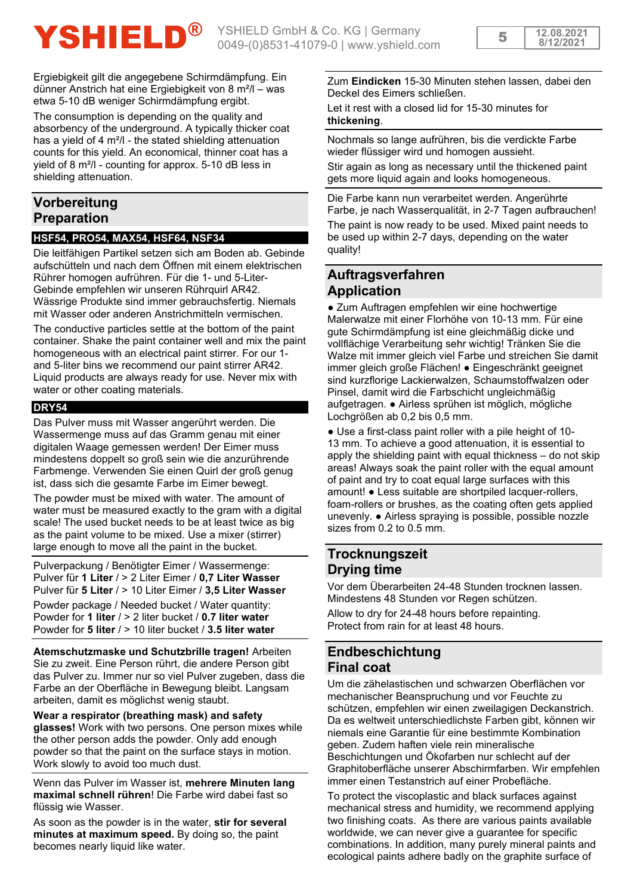**12.08.2021** <sup>5</sup> **8/12/2021**

Ergiebigkeit gilt die angegebene Schirmdämpfung. Ein dünner Anstrich hat eine Ergiebigkeit von 8 m²/l – was etwa 5-10 dB weniger Schirmdämpfung ergibt.

The consumption is depending on the quality and absorbency of the underground. A typically thicker coat has a yield of 4 m²/l - the stated shielding attenuation counts for this yield. An economical, thinner coat has a yield of 8 m²/l - counting for approx. 5-10 dB less in shielding attenuation.

# **Vorbereitung Preparation**

#### **HSF54, PRO54, MAX54, HSF64, NSF34**

Die leitfähigen Partikel setzen sich am Boden ab. Gebinde aufschütteln und nach dem Öffnen mit einem elektrischen Rührer homogen aufrühren. Für die 1- und 5-Liter-Gebinde empfehlen wir unseren Rührquirl AR42. Wässrige Produkte sind immer gebrauchsfertig. Niemals mit Wasser oder anderen Anstrichmitteln vermischen.

The conductive particles settle at the bottom of the paint container. Shake the paint container well and mix the paint homogeneous with an electrical paint stirrer. For our 1 and 5-liter bins we recommend our paint stirrer AR42. Liquid products are always ready for use. Never mix with water or other coating materials.

#### **DRY54**

Das Pulver muss mit Wasser angerührt werden. Die Wassermenge muss auf das Gramm genau mit einer digitalen Waage gemessen werden! Der Eimer muss mindestens doppelt so groß sein wie die anzurührende Farbmenge. Verwenden Sie einen Quirl der groß genug ist, dass sich die gesamte Farbe im Eimer bewegt.

The powder must be mixed with water. The amount of water must be measured exactly to the gram with a digital scale! The used bucket needs to be at least twice as big as the paint volume to be mixed. Use a mixer (stirrer) large enough to move all the paint in the bucket.

Pulverpackung / Benötigter Eimer / Wassermenge: Pulver für **1 Liter** / > 2 Liter Eimer / **0,7 Liter Wasser** Pulver für **5 Liter** / > 10 Liter Eimer / **3,5 Liter Wasser** Powder package / Needed bucket / Water quantity: Powder for **1 liter** / > 2 liter bucket / **0.7 liter water** Powder for **5 liter** / > 10 liter bucket / **3.5 liter water**

**Atemschutzmaske und Schutzbrille tragen!** Arbeiten Sie zu zweit. Eine Person rührt, die andere Person gibt das Pulver zu. Immer nur so viel Pulver zugeben, dass die Farbe an der Oberfläche in Bewegung bleibt. Langsam arbeiten, damit es möglichst wenig staubt.

# **Wear a respirator (breathing mask) and safety**

**glasses!** Work with two persons. One person mixes while the other person adds the powder. Only add enough powder so that the paint on the surface stays in motion. Work slowly to avoid too much dust.

Wenn das Pulver im Wasser ist, **mehrere Minuten lang maximal schnell rühren**! Die Farbe wird dabei fast so flüssig wie Wasser.

As soon as the powder is in the water, **stir for several minutes at maximum speed.** By doing so, the paint becomes nearly liquid like water.

Zum **Eindicken** 15-30 Minuten stehen lassen, dabei den Deckel des Eimers schließen.

Let it rest with a closed lid for 15-30 minutes for **thickening**.

Nochmals so lange aufrühren, bis die verdickte Farbe wieder flüssiger wird und homogen aussieht.

Stir again as long as necessary until the thickened paint gets more liquid again and looks homogeneous.

Die Farbe kann nun verarbeitet werden. Angerührte Farbe, je nach Wasserqualität, in 2-7 Tagen aufbrauchen! The paint is now ready to be used. Mixed paint needs to be used up within 2-7 days, depending on the water quality!

# **Auftragsverfahren Application**

● Zum Auftragen empfehlen wir eine hochwertige Malerwalze mit einer Florhöhe von 10-13 mm. Für eine gute Schirmdämpfung ist eine gleichmäßig dicke und vollflächige Verarbeitung sehr wichtig! Tränken Sie die Walze mit immer gleich viel Farbe und streichen Sie damit immer gleich große Flächen! ● Eingeschränkt geeignet sind kurzflorige Lackierwalzen, Schaumstoffwalzen oder Pinsel, damit wird die Farbschicht ungleichmäßig aufgetragen. ● Airless sprühen ist möglich, mögliche Lochgrößen ab 0,2 bis 0,5 mm.

● Use a first-class paint roller with a pile height of 10- 13 mm. To achieve a good attenuation, it is essential to apply the shielding paint with equal thickness – do not skip areas! Always soak the paint roller with the equal amount of paint and try to coat equal large surfaces with this amount! ● Less suitable are shortpiled lacquer-rollers, foam-rollers or brushes, as the coating often gets applied unevenly. Airless spraying is possible, possible nozzle sizes from 0.2 to 0.5 mm.

# **Trocknungszeit Drying time**

Vor dem Überarbeiten 24-48 Stunden trocknen lassen. Mindestens 48 Stunden vor Regen schützen.

Allow to dry for 24-48 hours before repainting. Protect from rain for at least 48 hours.

# **Endbeschichtung Final coat**

Um die zähelastischen und schwarzen Oberflächen vor mechanischer Beanspruchung und vor Feuchte zu schützen, empfehlen wir einen zweilagigen Deckanstrich. Da es weltweit unterschiedlichste Farben gibt, können wir niemals eine Garantie für eine bestimmte Kombination geben. Zudem haften viele rein mineralische Beschichtungen und Ökofarben nur schlecht auf der Graphitoberfläche unserer Abschirmfarben. Wir empfehlen immer einen Testanstrich auf einer Probefläche.

To protect the viscoplastic and black surfaces against mechanical stress and humidity, we recommend applying two finishing coats. As there are various paints available worldwide, we can never give a guarantee for specific combinations. In addition, many purely mineral paints and ecological paints adhere badly on the graphite surface of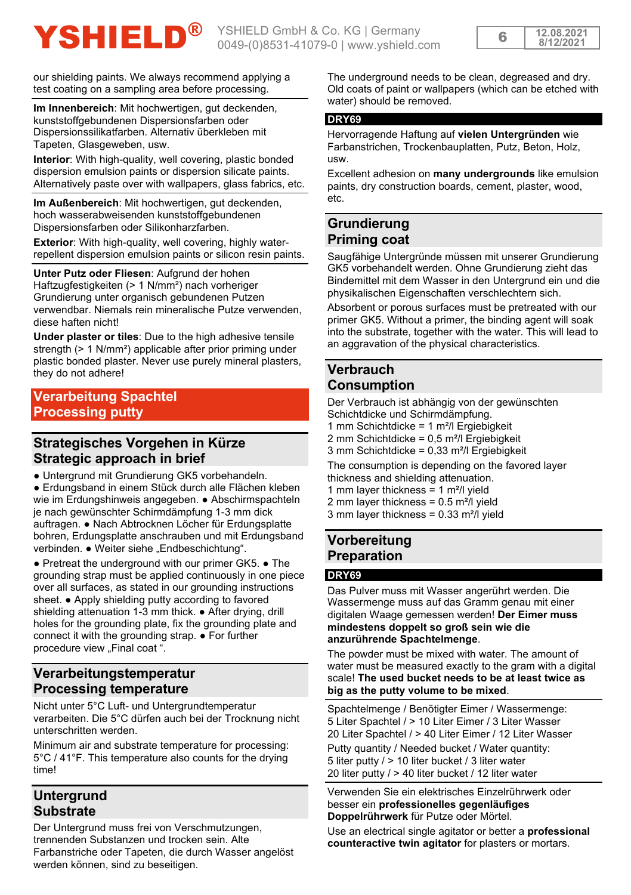# YSHIELD<sup>®</sup> YSHIELD GmbH & Co. KG | Germany

| 12 OS 2021<br>8/12/202 |
|------------------------|
|------------------------|

our shielding paints. We always recommend applying a test coating on a sampling area before processing.

**Im Innenbereich**: Mit hochwertigen, gut deckenden, kunststoffgebundenen Dispersionsfarben oder Dispersionssilikatfarben. Alternativ überkleben mit Tapeten, Glasgeweben, usw.

**Interior**: With high-quality, well covering, plastic bonded dispersion emulsion paints or dispersion silicate paints. Alternatively paste over with wallpapers, glass fabrics, etc.

**Im Außenbereich:** Mit hochwertigen, gut deckenden hoch wasserabweisenden kunststoffgebundenen Dispersionsfarben oder Silikonharzfarben.

**Exterior:** With high-quality, well covering, highly waterrepellent dispersion emulsion paints or silicon resin paints.

**Unter Putz oder Fliesen**: Aufgrund der hohen Haftzugfestigkeiten (> 1 N/mm²) nach vorheriger Grundierung unter organisch gebundenen Putzen verwendbar. Niemals rein mineralische Putze verwenden, diese haften nicht!

**Under plaster or tiles**: Due to the high adhesive tensile strength (> 1 N/mm²) applicable after prior priming under plastic bonded plaster. Never use purely mineral plasters, they do not adhere!

# **Verarbeitung Spachtel Processing putty**

# **Strategisches Vorgehen in Kürze Strategic approach in brief**

● Untergrund mit Grundierung GK5 vorbehandeln.

● Erdungsband in einem Stück durch alle Flächen kleben wie im Erdungshinweis angegeben. ● Abschirmspachteln je nach gewünschter Schirmdämpfung 1-3 mm dick auftragen. ● Nach Abtrocknen Löcher für Erdungsplatte bohren, Erdungsplatte anschrauben und mit Erdungsband verbinden. ● Weiter siehe "Endbeschichtung".

● Pretreat the underground with our primer GK5. ● The grounding strap must be applied continuously in one piece over all surfaces, as stated in our grounding instructions sheet. • Apply shielding putty according to favored shielding attenuation 1-3 mm thick. ● After drying, drill holes for the grounding plate, fix the grounding plate and connect it with the grounding strap. ● For further procedure view "Final coat ".

# **Verarbeitungstemperatur Processing temperature**

Nicht unter 5°C Luft- und Untergrundtemperatur verarbeiten. Die 5°C dürfen auch bei der Trocknung nicht unterschritten werden.

Minimum air and substrate temperature for processing: 5°C / 41°F. This temperature also counts for the drying time!

# **Untergrund Substrate**

Der Untergrund muss frei von Verschmutzungen, trennenden Substanzen und trocken sein. Alte Farbanstriche oder Tapeten, die durch Wasser angelöst werden können, sind zu beseitigen.

The underground needs to be clean, degreased and dry. Old coats of paint or wallpapers (which can be etched with water) should be removed.

#### **DRY69**

Hervorragende Haftung auf **vielen Untergründen** wie Farbanstrichen, Trockenbauplatten, Putz, Beton, Holz, usw.

Excellent adhesion on **many undergrounds** like emulsion paints, dry construction boards, cement, plaster, wood, etc.

# **Grundierung Priming coat**

Saugfähige Untergründe müssen mit unserer Grundierung GK5 vorbehandelt werden. Ohne Grundierung zieht das Bindemittel mit dem Wasser in den Untergrund ein und die physikalischen Eigenschaften verschlechtern sich.

Absorbent or porous surfaces must be pretreated with our primer GK5. Without a primer, the binding agent will soak into the substrate, together with the water. This will lead to an aggravation of the physical characteristics.

# **Verbrauch Consumption**

Der Verbrauch ist abhängig von der gewünschten Schichtdicke und Schirmdämpfung. 1 mm Schichtdicke = 1 m²/l Ergiebigkeit

2 mm Schichtdicke = 0,5 m²/l Ergiebigkeit

 $3 \text{ mm}$  Schichtdicke = 0,33 m<sup>2</sup>/l Ergiebigkeit

The consumption is depending on the favored layer thickness and shielding attenuation.

1 mm layer thickness  $= 1$  m<sup>2</sup>/l yield

2 mm layer thickness =  $0.5$  m<sup>2</sup>/l yield

3 mm layer thickness = 0.33 m²/l yield

# **Vorbereitung Preparation**

### **DRY69**

Das Pulver muss mit Wasser angerührt werden. Die Wassermenge muss auf das Gramm genau mit einer digitalen Waage gemessen werden! **Der Eimer muss mindestens doppelt so groß sein wie die anzurührende Spachtelmenge**.

The powder must be mixed with water. The amount of water must be measured exactly to the gram with a digital scale! **The used bucket needs to be at least twice as big as the putty volume to be mixed**.

Spachtelmenge / Benötigter Eimer / Wassermenge: 5 Liter Spachtel / > 10 Liter Eimer / 3 Liter Wasser 20 Liter Spachtel / > 40 Liter Eimer / 12 Liter Wasser

Putty quantity / Needed bucket / Water quantity: 5 liter putty / > 10 liter bucket / 3 liter water 20 liter putty / > 40 liter bucket / 12 liter water

Verwenden Sie ein elektrisches Einzelrührwerk oder besser ein **professionelles gegenläufiges Doppelrührwerk** für Putze oder Mörtel.

Use an electrical single agitator or better a **professional counteractive twin agitator** for plasters or mortars.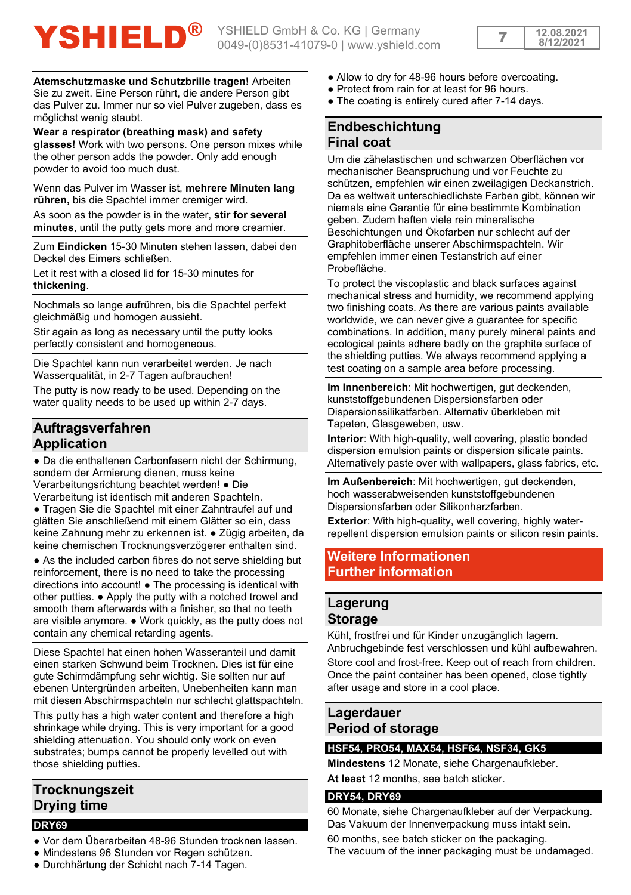

**Atemschutzmaske und Schutzbrille tragen!** Arbeiten

Sie zu zweit. Eine Person rührt, die andere Person gibt das Pulver zu. Immer nur so viel Pulver zugeben, dass es möglichst wenig staubt.

**Wear a respirator (breathing mask) and safety glasses!** Work with two persons. One person mixes while the other person adds the powder. Only add enough powder to avoid too much dust.

Wenn das Pulver im Wasser ist, **mehrere Minuten lang rühren,** bis die Spachtel immer cremiger wird.

As soon as the powder is in the water, **stir for several minutes**, until the putty gets more and more creamier.

Zum **Eindicken** 15-30 Minuten stehen lassen, dabei den Deckel des Eimers schließen.

Let it rest with a closed lid for 15-30 minutes for **thickening**.

Nochmals so lange aufrühren, bis die Spachtel perfekt gleichmäßig und homogen aussieht.

Stir again as long as necessary until the putty looks perfectly consistent and homogeneous.

Die Spachtel kann nun verarbeitet werden. Je nach Wasserqualität, in 2-7 Tagen aufbrauchen!

The putty is now ready to be used. Depending on the water quality needs to be used up within 2-7 days.

# **Auftragsverfahren Application**

● Da die enthaltenen Carbonfasern nicht der Schirmung, sondern der Armierung dienen, muss keine Verarbeitungsrichtung beachtet werden! ● Die

Verarbeitung ist identisch mit anderen Spachteln. ● Tragen Sie die Spachtel mit einer Zahntraufel auf und glätten Sie anschließend mit einem Glätter so ein, dass

keine Zahnung mehr zu erkennen ist. ● Zügig arbeiten, da keine chemischen Trocknungsverzögerer enthalten sind.

• As the included carbon fibres do not serve shielding but reinforcement, there is no need to take the processing directions into account! ● The processing is identical with other putties. ● Apply the putty with a notched trowel and smooth them afterwards with a finisher, so that no teeth are visible anymore. ● Work quickly, as the putty does not contain any chemical retarding agents.

Diese Spachtel hat einen hohen Wasseranteil und damit einen starken Schwund beim Trocknen. Dies ist für eine gute Schirmdämpfung sehr wichtig. Sie sollten nur auf ebenen Untergründen arbeiten, Unebenheiten kann man mit diesen Abschirmspachteln nur schlecht glattspachteln.

This putty has a high water content and therefore a high shrinkage while drying. This is very important for a good shielding attenuation. You should only work on even substrates; bumps cannot be properly levelled out with those shielding putties.

# **Trocknungszeit Drying time**

### **DRY69**

- Vor dem Überarbeiten 48-96 Stunden trocknen lassen.
- Mindestens 96 Stunden vor Regen schützen.
- Durchhärtung der Schicht nach 7-14 Tagen.
- Allow to dry for 48-96 hours before overcoating.
- Protect from rain for at least for 96 hours.
- The coating is entirely cured after 7-14 days.

# **Endbeschichtung Final coat**

Um die zähelastischen und schwarzen Oberflächen vor mechanischer Beanspruchung und vor Feuchte zu schützen, empfehlen wir einen zweilagigen Deckanstrich. Da es weltweit unterschiedlichste Farben gibt, können wir niemals eine Garantie für eine bestimmte Kombination geben. Zudem haften viele rein mineralische Beschichtungen und Ökofarben nur schlecht auf der Graphitoberfläche unserer Abschirmspachteln. Wir empfehlen immer einen Testanstrich auf einer Probefläche.

To protect the viscoplastic and black surfaces against mechanical stress and humidity, we recommend applying two finishing coats. As there are various paints available worldwide, we can never give a guarantee for specific combinations. In addition, many purely mineral paints and ecological paints adhere badly on the graphite surface of the shielding putties. We always recommend applying a test coating on a sample area before processing.

**Im Innenbereich**: Mit hochwertigen, gut deckenden, kunststoffgebundenen Dispersionsfarben oder Dispersionssilikatfarben. Alternativ überkleben mit Tapeten, Glasgeweben, usw.

**Interior**: With high-quality, well covering, plastic bonded dispersion emulsion paints or dispersion silicate paints. Alternatively paste over with wallpapers, glass fabrics, etc.

**Im Außenbereich**: Mit hochwertigen, gut deckenden, hoch wasserabweisenden kunststoffgebundenen Dispersionsfarben oder Silikonharzfarben.

**Exterior**: With high-quality, well covering, highly waterrepellent dispersion emulsion paints or silicon resin paints.

# **Weitere Informationen Further information**

# **Lagerung Storage**

Kühl, frostfrei und für Kinder unzugänglich lagern. Anbruchgebinde fest verschlossen und kühl aufbewahren. Store cool and frost-free. Keep out of reach from children. Once the paint container has been opened, close tightly after usage and store in a cool place.

# **Lagerdauer Period of storage**

## **HSF54, PRO54, MAX54, HSF64, NSF34, GK5**

**Mindestens** 12 Monate, siehe Chargenaufkleber. **At least** 12 months, see batch sticker.

### **DRY54, DRY69**

60 Monate, siehe Chargenaufkleber auf der Verpackung. Das Vakuum der Innenverpackung muss intakt sein.

60 months, see batch sticker on the packaging.

The vacuum of the inner packaging must be undamaged.